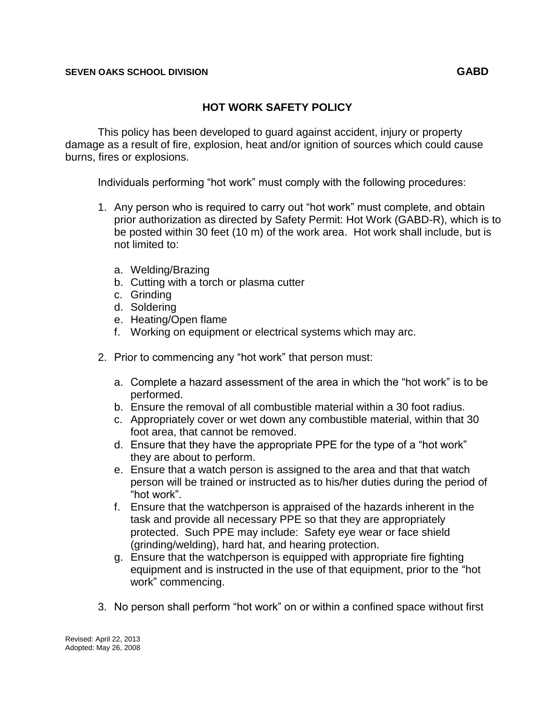This policy has been developed to guard against accident, injury or property damage as a result of fire, explosion, heat and/or ignition of sources which could cause burns, fires or explosions.

Individuals performing "hot work" must comply with the following procedures:

- 1. Any person who is required to carry out "hot work" must complete, and obtain prior authorization as directed by Safety Permit: Hot Work (GABD-R), which is to be posted within 30 feet (10 m) of the work area. Hot work shall include, but is not limited to:
	- a. Welding/Brazing
	- b. Cutting with a torch or plasma cutter
	- c. Grinding
	- d. Soldering
	- e. Heating/Open flame
	- f. Working on equipment or electrical systems which may arc.
- 2. Prior to commencing any "hot work" that person must:
	- a. Complete a hazard assessment of the area in which the "hot work" is to be performed.
	- b. Ensure the removal of all combustible material within a 30 foot radius.
	- c. Appropriately cover or wet down any combustible material, within that 30 foot area, that cannot be removed.
	- d. Ensure that they have the appropriate PPE for the type of a "hot work" they are about to perform.
	- e. Ensure that a watch person is assigned to the area and that that watch person will be trained or instructed as to his/her duties during the period of "hot work".
	- f. Ensure that the watchperson is appraised of the hazards inherent in the task and provide all necessary PPE so that they are appropriately protected. Such PPE may include: Safety eye wear or face shield (grinding/welding), hard hat, and hearing protection.
	- g. Ensure that the watchperson is equipped with appropriate fire fighting equipment and is instructed in the use of that equipment, prior to the "hot work" commencing.
- 3. No person shall perform "hot work" on or within a confined space without first

Revised: April 22, 2013 Adopted: May 26, 2008